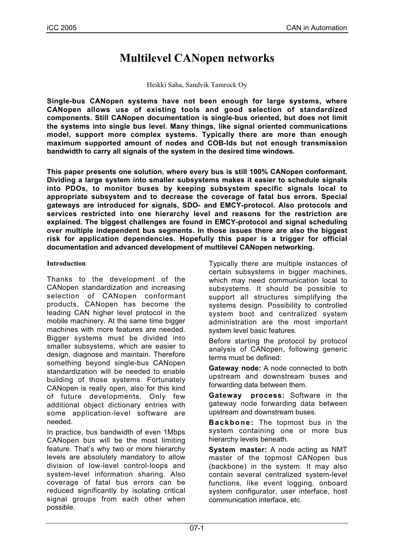# **Multilevel CANopen networks**

Heikki Saha, Sandvik Tamrock Oy

**Single-bus CANopen systems have not been enough for large systems, where CANopen allows use of existing tools and good selection of standardized components. Still CANopen documentation is single-bus oriented, but does not limit the systems into single bus level. Many things, like signal oriented communications model, support more complex systems. Typically there are more than enough maximum supported amount of nodes and COB-Ids but not enough transmission bandwidth to carry all signals of the system in the desired time windows.**

**This paper presents one solution, where every bus is still 100% CANopen conformant. Dividing a large system into smaller subsystems makes it easier to schedule signals into PDOs, to monitor buses by keeping subsystem specific signals local to appropriate subsystem and to decrease the coverage of fatal bus errors. Special gateways are introduced for signals, SDO- and EMCY-protocol. Also protocols and services restricted into one hierarchy level and reasons for the restriction are explained. The biggest challenges are found in EMCY-protocol and signal scheduling over multiple independent bus segments. In those issues there are also the biggest risk for application dependencies. Hopefully this paper is a trigger for official documentation and advanced development of multilevel CANopen networking.**

# **Introduction**

Thanks to the development of the CANopen standardization and increasing selection of CANopen conformant products, CANopen has become the leading CAN higher level protocol in the mobile machinery. At the same time bigger machines with more features are needed. Bigger systems must be divided into smaller subsystems, which are easier to design, diagnose and maintain. Therefore something beyond single-bus CANopen standardization will be needed to enable building of those systems. Fortunately CANopen is really open, also for this kind of future developments. Only few additional object dictionary entries with some application-level software are needed.

In practice, bus bandwidth of even 1Mbps CANopen bus will be the most limiting feature. That's why two or more hierarchy levels are absolutely mandatory to allow division of low-level control-loops and system-level information sharing. Also coverage of fatal bus errors can be reduced significantly by isolating critical signal groups from each other when possible.

Typically there are multiple instances of certain subsystems in bigger machines, which may need communication local to subsystems. It should be possible to support all structures simplifying the systems design. Possibility to controlled system boot and centralized system administration are the most important system level basic features.

Before starting the protocol by protocol analysis of CANopen, following generic terms must be defined:

**Gateway node:** A node connected to both upstream and downstream buses and forwarding data between them.

**Gateway process:** Software in the gateway node forwarding data between upstream and downstream buses.

**Backbone:** The topmost bus in the system containing one or more bus hierarchy levels beneath.

**System master:** A node acting as NMT master of the topmost CANopen bus (backbone) in the system. It may also contain several centralized system-level functions, like event logging, onboard system configurator, user interface, host communication interface, etc.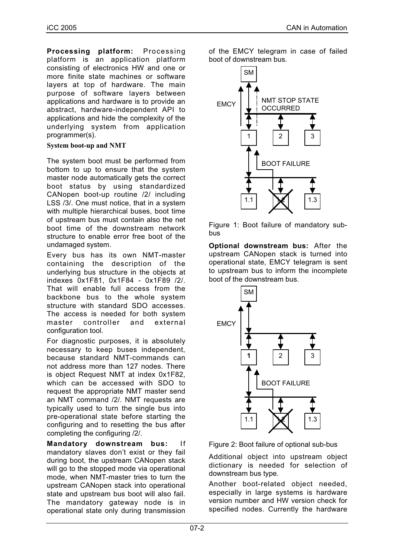**Processing platform:** Processing platform is an application platform consisting of electronics HW and one or more finite state machines or software layers at top of hardware. The main purpose of software layers between applications and hardware is to provide an abstract, hardware-independent API to applications and hide the complexity of the underlying system from application programmer(s).

# **System boot-up and NMT**

The system boot must be performed from bottom to up to ensure that the system master node automatically gets the correct boot status by using standardized CANopen boot-up routine /2/ including LSS /3/. One must notice, that in a system with multiple hierarchical buses, boot time of upstream bus must contain also the net boot time of the downstream network structure to enable error free boot of the undamaged system.

Every bus has its own NMT-master containing the description of the underlying bus structure in the objects at indexes 0x1F81, 0x1F84 - 0x1F89 /2/. That will enable full access from the backbone bus to the whole system structure with standard SDO accesses. The access is needed for both system master controller and external configuration tool.

For diagnostic purposes, it is absolutely necessary to keep buses independent, because standard NMT-commands can not address more than 127 nodes. There is object Request NMT at index 0x1F82, which can be accessed with SDO to request the appropriate NMT master send an NMT command /2/. NMT requests are typically used to turn the single bus into pre-operational state before starting the configuring and to resetting the bus after completing the configuring /2/.

**Mandatory downstream bus:** If mandatory slaves don't exist or they fail during boot, the upstream CANopen stack will go to the stopped mode via operational mode, when NMT-master tries to turn the upstream CANopen stack into operational state and upstream bus boot will also fail. The mandatory gateway node is in operational state only during transmission

of the EMCY telegram in case of failed boot of downstream bus.



Figure 1: Boot failure of mandatory subbus

**Optional downstream bus:** After the upstream CANopen stack is turned into operational state, EMCY telegram is sent to upstream bus to inform the incomplete boot of the downstream bus.



Figure 2: Boot failure of optional sub-bus

Additional object into upstream object dictionary is needed for selection of downstream bus type.

Another boot-related object needed, especially in large systems is hardware version number and HW version check for specified nodes. Currently the hardware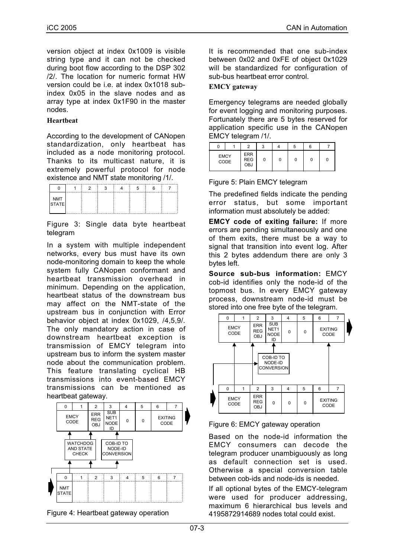version object at index 0x1009 is visible string type and it can not be checked during boot flow according to the DSP 302 /2/. The location for numeric format HW version could be i.e. at index 0x1018 subindex 0x05 in the slave nodes and as array type at index 0x1F90 in the master nodes.

# **Heartbeat**

According to the development of CANopen standardization, only heartbeat has included as a node monitoring protocol. Thanks to its multicast nature, it is extremely powerful protocol for node existence and NMT state monitoring /1/.

|                     | --------<br> | c | . |  |  |
|---------------------|--------------|---|---|--|--|
| IMT<br>TATE.<br>A E |              |   |   |  |  |
|                     |              |   |   |  |  |

Figure 3: Single data byte heartbeat telegram

In a system with multiple independent networks, every bus must have its own node-monitoring domain to keep the whole system fully CANopen conformant and heartbeat transmission overhead in minimum. Depending on the application, heartbeat status of the downstream bus may affect on the NMT-state of the upstream bus in conjunction with Error behavior object at index 0x1029, /4,5,9/. The only mandatory action in case of downstream heartbeat exception is transmission of EMCY telegram into upstream bus to inform the system master node about the communication problem. This feature translating cyclical HB transmissions into event-based EMCY transmissions can be mentioned as heartbeat gateway.





It is recommended that one sub-index between 0x02 and 0xFE of object 0x1029 will be standardized for configuration of sub-bus heartbeat error control.

# **EMCY gateway**

Emergency telegrams are needed globally for event logging and monitoring purposes. Fortunately there are 5 bytes reserved for application specific use in the CANopen EMCY telegram /1/.

|                     | c                                      | ົ | 5 |   |  |
|---------------------|----------------------------------------|---|---|---|--|
| <b>EMCY</b><br>CODE | <b>ERR</b><br><b>REG</b><br><b>OBJ</b> | 0 |   | υ |  |

Figure 5: Plain EMCY telegram

The predefined fields indicate the pending error status, but some important information must absolutely be added:

**EMCY code of exiting failure:** If more errors are pending simultaneously and one of them exits, there must be a way to signal that transition into event log. After this 2 bytes addendum there are only 3 bytes left.

**Source sub-bus information:** EMCY cob-id identifies only the node-id of the topmost bus. In every EMCY gateway process, downstream node-id must be stored into one free byte of the telegram.



# Figure 6: EMCY gateway operation

Based on the node-id information the EMCY consumers can decode the telegram producer unambiguously as long as default connection set is used. Otherwise a special conversion table between cob-ids and node-ids is needed.

If all optional bytes of the EMCY-telegram were used for producer addressing, maximum 6 hierarchical bus levels and 4195872914689 nodes total could exist.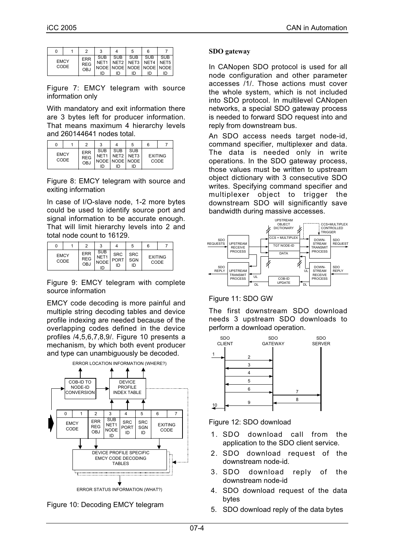|             |      |                                        |                  |                  | 5                | 6         |                                                                                           |
|-------------|------|----------------------------------------|------------------|------------------|------------------|-----------|-------------------------------------------------------------------------------------------|
| <b>EMCY</b> | CODE | <b>ERR</b><br><b>REG</b><br><b>OBJ</b> | <b>SUB</b><br>חו | <b>SUB</b><br>ID | <b>SUB</b><br>ID | SUB<br>חו | SUB I<br>NET1   NET2   NET3   NET4   NET5  <br>I NODE I NODE I NODE I NODE I NODE I<br>ID |

Figure 7: EMCY telegram with source information only

With mandatory and exit information there are 3 bytes left for producer information. That means maximum 4 hierarchy levels and 260144641 nodes total.

|             |      |                                        | 3                                    |                                                 | 5          | 6 |                        |
|-------------|------|----------------------------------------|--------------------------------------|-------------------------------------------------|------------|---|------------------------|
| <b>EMCY</b> | CODE | <b>ERR</b><br><b>REG</b><br><b>OBJ</b> | <b>SUB</b><br>NET <sub>1</sub><br>חו | <b>SUB</b><br>NET2 NET3<br>NODE NODE NODE<br>ID | <b>SUB</b> |   | <b>EXITING</b><br>CODE |

Figure 8: EMCY telegram with source and exiting information

In case of I/O-slave node, 1-2 more bytes could be used to identify source port and signal information to be accurate enough. That will limit hierarchy levels into 2 and total node count to 16129.

|                     |  |                                        | 3                                             |                          | b                       | 6 |                        |
|---------------------|--|----------------------------------------|-----------------------------------------------|--------------------------|-------------------------|---|------------------------|
| <b>EMCY</b><br>CODE |  | <b>ERR</b><br><b>REG</b><br><b>OBJ</b> | <b>SUB</b><br>NFT <sub>1</sub><br><b>NODE</b> | <b>SRC</b><br>PORT<br>ID | <b>SRC</b><br>SGN<br>חו |   | <b>EXITING</b><br>CODE |

Figure 9: EMCY telegram with complete source information

EMCY code decoding is more painful and multiple string decoding tables and device profile indexing are needed because of the overlapping codes defined in the device profiles /4,5,6,7,8,9/. Figure 10 presents a mechanism, by which both event producer and type can unambiguously be decoded.



ERROR STATUS INFORMATION (WHAT?)



## **SDO gateway**

In CANopen SDO protocol is used for all node configuration and other parameter accesses /1/. Those actions must cover the whole system, which is not included into SDO protocol. In multilevel CANopen networks, a special SDO gateway process is needed to forward SDO request into and reply from downstream bus.

An SDO access needs target node-id, command specifier, multiplexer and data. The data is needed only in write operations. In the SDO gateway process, those values must be written to upstream object dictionary with 3 consecutive SDO writes. Specifying command specifier and multiplexer object to trigger the downstream SDO will significantly save bandwidth during massive accesses.



# Figure 11: SDO GW

The first downstream SDO download needs 3 upstream SDO downloads to perform a download operation.



Figure 12: SDO download

- 1. SDO download call from the application to the SDO client service.
- 2. SDO download request of the downstream node-id.
- 3. SDO download reply of the downstream node-id
- 4. SDO download request of the data bytes
- 5. SDO download reply of the data bytes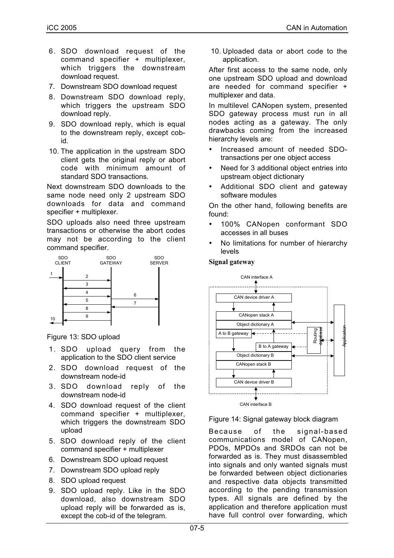- 6. SDO download request of the command specifier + multiplexer, which triggers the downstream download request.
- 7. Downstream SDO download request
- 8. Downstream SDO download reply, which triggers the upstream SDO download reply.
- 9. SDO download reply, which is equal to the downstream reply, except cobid.
- 10. The application in the upstream SDO client gets the original reply or abort code with minimum amount of standard SDO transactions.

Next downstream SDO downloads to the same node need only 2 upstream SDO downloads for data and command specifier + multiplexer.

SDO uploads also need three upstream transactions or otherwise the abort codes may not be according to the client command specifier.



Figure 13: SDO upload

- 1. SDO upload query from the application to the SDO client service
- 2. SDO download request of the downstream node-id
- 3. SDO download reply of the downstream node-id
- 4. SDO download request of the client command specifier + multiplexer, which triggers the downstream SDO upload
- 5. SDO download reply of the client command specifier + multiplexer
- 6. Downstream SDO upload request
- 7. Downstream SDO upload reply
- 8. SDO upload request
- 9. SDO upload reply. Like in the SDO download, also downstream SDO upload reply will be forwarded as is, except the cob-id of the telegram.

10. Uploaded data or abort code to the application.

After first access to the same node, only one upstream SDO upload and download are needed for command specifier + multiplexer and data.

In multilevel CANopen system, presented SDO gateway process must run in all nodes acting as a gateway. The only drawbacks coming from the increased hierarchy levels are:

- Increased amount of needed SDOtransactions per one object access
- Need for 3 additional object entries into upstream object dictionary
- Additional SDO client and gateway software modules

On the other hand, following benefits are found:

- 100% CANopen conformant SDO accesses in all buses
- No limitations for number of hierarchy levels

#### **Signal gateway**



#### Figure 14: Signal gateway block diagram

Because of the signal-based communications model of CANopen, PDOs, MPDOs and SRDOs can not be forwarded as is. They must disassembled into signals and only wanted signals must be forwarded between object dictionaries and respective data objects transmitted according to the pending transmission types. All signals are defined by the application and therefore application must have full control over forwarding, which